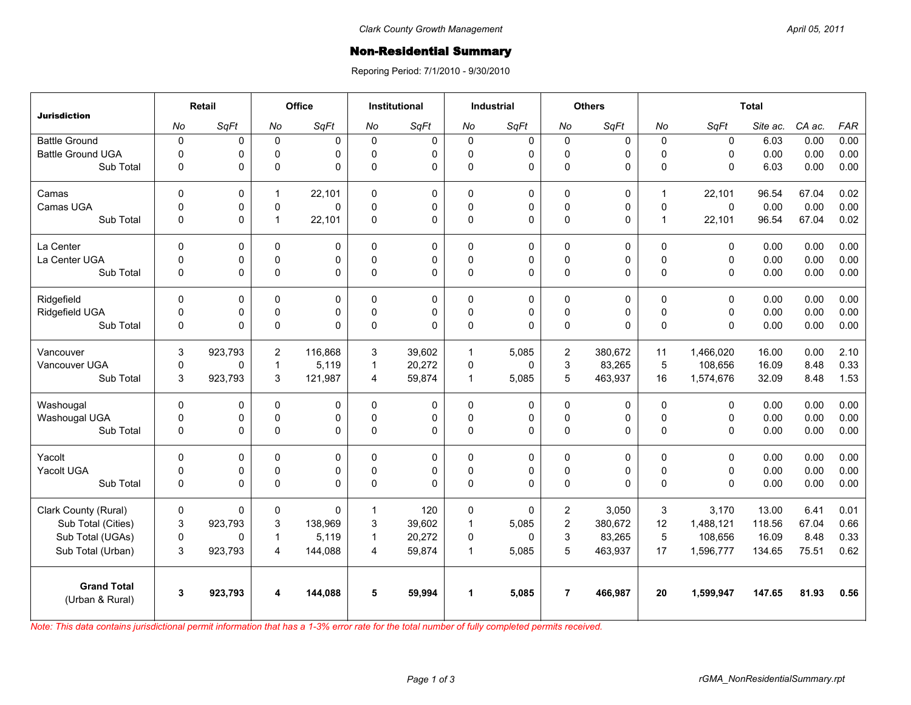## **Non-Residential Summary**

Reporing Period: 7/1/2010 - 9/30/2010

| <b>Jurisdiction</b>                   | Retail      |          | Office         |          | <b>Institutional</b> |             | <b>Industrial</b>    |              | <b>Others</b>           |             | <b>Total</b>   |             |          |        |            |
|---------------------------------------|-------------|----------|----------------|----------|----------------------|-------------|----------------------|--------------|-------------------------|-------------|----------------|-------------|----------|--------|------------|
|                                       | No          | SqFt     | No             | SqFt     | No                   | SqFt        | No                   | SqFt         | No                      | SqFt        | No             | SqFt        | Site ac. | CA ac. | <b>FAR</b> |
| <b>Battle Ground</b>                  | $\mathbf 0$ | 0        | $\mathsf 0$    | 0        | $\mathbf 0$          | $\mathsf 0$ | $\mathsf 0$          | $\mathsf 0$  | $\mathbf 0$             | $\mathbf 0$ | $\mathbf 0$    | $\pmb{0}$   | 6.03     | 0.00   | 0.00       |
| <b>Battle Ground UGA</b>              | $\Omega$    | 0        | $\mathbf 0$    | $\Omega$ | 0                    | 0           | $\mathbf 0$          | 0            | $\mathbf 0$             | 0           | $\mathbf{0}$   | $\Omega$    | 0.00     | 0.00   | 0.00       |
| Sub Total                             | $\mathbf 0$ | 0        | $\mathbf 0$    | $\Omega$ | 0                    | 0           | $\pmb{0}$            | 0            | $\pmb{0}$               | 0           | $\mathbf{0}$   | $\Omega$    | 6.03     | 0.00   | 0.00       |
| Camas                                 | $\Omega$    | 0        | $\mathbf{1}$   | 22,101   | $\Omega$             | 0           | $\Omega$             | 0            | 0                       | 0           | $\overline{1}$ | 22,101      | 96.54    | 67.04  | 0.02       |
| Camas UGA                             | $\mathbf 0$ | 0        | $\pmb{0}$      | $\Omega$ | $\Omega$             | $\pmb{0}$   | $\pmb{0}$            | $\mathsf 0$  | $\pmb{0}$               | 0           | $\mathbf 0$    | $\mathbf 0$ | 0.00     | 0.00   | 0.00       |
| Sub Total                             | $\mathbf 0$ | 0        | $\overline{1}$ | 22,101   | $\mathbf 0$          | 0           | $\pmb{0}$            | $\Omega$     | $\pmb{0}$               | 0           | $\overline{1}$ | 22,101      | 96.54    | 67.04  | 0.02       |
| La Center                             | $\mathbf 0$ | $\Omega$ | $\mathbf 0$    | $\Omega$ | 0                    | 0           | $\Omega$             | 0            | 0                       | $\Omega$    | $\mathbf{0}$   | $\Omega$    | 0.00     | 0.00   | 0.00       |
| La Center UGA                         | $\mathbf 0$ | 0        | $\mathbf 0$    | 0        | $\Omega$             | 0           | 0                    | 0            | $\mathbf 0$             | 0           | $\mathbf 0$    | 0           | 0.00     | 0.00   | 0.00       |
| Sub Total                             | $\mathbf 0$ | 0        | $\pmb{0}$      | 0        | 0                    | 0           | $\pmb{0}$            | 0            | $\pmb{0}$               | 0           | $\mathsf 0$    | $\mathbf 0$ | 0.00     | 0.00   | 0.00       |
| Ridgefield                            | $\Omega$    | 0        | $\mathbf 0$    | 0        | $\Omega$             | 0           | $\mathbf 0$          | 0            | $\mathbf 0$             | 0           | $\mathbf{0}$   | 0           | 0.00     | 0.00   | 0.00       |
| Ridgefield UGA                        | $\mathbf 0$ | 0        | $\mathbf 0$    | 0        | $\Omega$             | 0           | $\mathbf 0$          | 0            | $\mathbf 0$             | 0           | $\mathbf{0}$   | 0           | 0.00     | 0.00   | 0.00       |
| Sub Total                             | $\mathbf 0$ | 0        | $\pmb{0}$      | $\Omega$ | 0                    | 0           | 0                    | $\mathbf{0}$ | $\mathbf 0$             | 0           | $\mathbf 0$    | $\Omega$    | 0.00     | 0.00   | 0.00       |
| Vancouver                             | 3           | 923,793  | $\overline{c}$ | 116.868  | 3                    | 39.602      | $\mathbf{1}$         | 5,085        | $\overline{\mathbf{c}}$ | 380.672     | 11             | 1,466,020   | 16.00    | 0.00   | 2.10       |
| Vancouver UGA                         | $\mathbf 0$ | 0        | $\overline{1}$ | 5,119    | $\mathbf{1}$         | 20,272      | 0                    | 0            | 3                       | 83,265      | $\overline{5}$ | 108,656     | 16.09    | 8.48   | 0.33       |
| Sub Total                             | 3           | 923,793  | 3              | 121,987  | 4                    | 59,874      | $\mathbf{1}$         | 5,085        | 5                       | 463,937     | 16             | 1,574,676   | 32.09    | 8.48   | 1.53       |
| Washougal                             | $\Omega$    | 0        | 0              | $\Omega$ | 0                    | 0           | $\Omega$             | $\mathbf 0$  | 0                       | 0           | $\mathbf{0}$   | $\Omega$    | 0.00     | 0.00   | 0.00       |
| Washougal UGA                         | $\mathbf 0$ | 0        | $\pmb{0}$      | 0        | 0                    | 0           | $\mathsf 0$          | $\mathsf 0$  | $\pmb{0}$               | 0           | $\mathbf 0$    | 0           | 0.00     | 0.00   | 0.00       |
| Sub Total                             | $\mathbf 0$ | 0        | $\pmb{0}$      | $\Omega$ | $\Omega$             | $\Omega$    | $\Omega$             | $\Omega$     | $\mathbf 0$             | 0           | $\Omega$       | $\Omega$    | 0.00     | 0.00   | 0.00       |
| Yacolt                                | $\mathbf 0$ | 0        | 0              | 0        | 0                    | 0           | $\mathbf 0$          | 0            | $\pmb{0}$               | 0           | $\mathbf 0$    | $\mathbf 0$ | 0.00     | 0.00   | 0.00       |
| Yacolt UGA                            | $\mathbf 0$ | 0        | $\mathbf 0$    | 0        | $\Omega$             | 0           | $\mathbf 0$          | 0            | $\mathbf 0$             | 0           | $\mathbf 0$    | $\mathbf 0$ | 0.00     | 0.00   | 0.00       |
| Sub Total                             | $\mathbf 0$ | 0        | $\mathsf 0$    | $\Omega$ | 0                    | $\Omega$    | $\pmb{0}$            | $\mathbf{0}$ | $\mathbf 0$             | 0           | $\Omega$       | $\Omega$    | 0.00     | 0.00   | 0.00       |
| Clark County (Rural)                  | 0           | 0        | 0              | $\Omega$ | 1                    | 120         | 0                    | 0            | 2                       | 3,050       | 3              | 3,170       | 13.00    | 6.41   | 0.01       |
| Sub Total (Cities)                    | 3           | 923,793  | 3              | 138,969  | 3                    | 39,602      | $\mathbf{1}$         | 5.085        | $\overline{2}$          | 380,672     | 12             | 1,488,121   | 118.56   | 67.04  | 0.66       |
| Sub Total (UGAs)                      | $\mathbf 0$ | 0        | $\mathbf{1}$   | 5,119    | 1                    | 20,272      | 0                    | $\Omega$     | 3                       | 83,265      | 5              | 108,656     | 16.09    | 8.48   | 0.33       |
| Sub Total (Urban)                     | 3           | 923,793  | $\overline{4}$ | 144,088  | 4                    | 59,874      | $\mathbf{1}$         | 5,085        | 5                       | 463,937     | 17             | 1,596,777   | 134.65   | 75.51  | 0.62       |
| <b>Grand Total</b><br>(Urban & Rural) | 3           | 923,793  | 4              | 144,088  | 5                    | 59,994      | $\blacktriangleleft$ | 5,085        | $\overline{7}$          | 466.987     | 20             | 1,599,947   | 147.65   | 81.93  | 0.56       |
|                                       |             |          |                |          |                      |             |                      |              |                         |             |                |             |          |        |            |

*Note: This data contains jurisdictional permit information that has a 1-3% error rate for the total number of fully completed permits received.*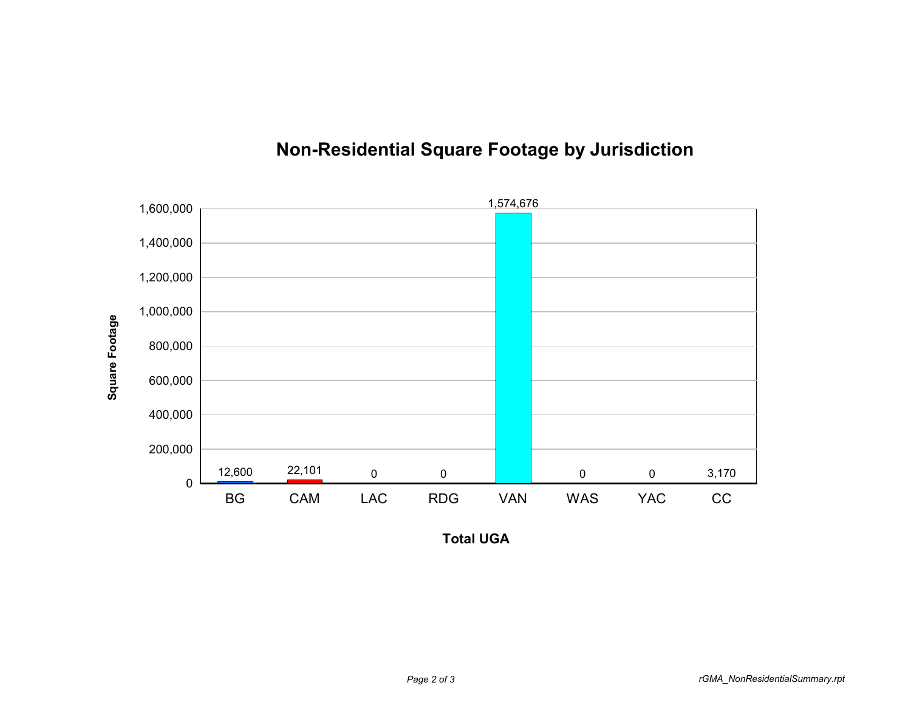

## **Non-Residential Square Footage by Jurisdiction**

**Total UGA**